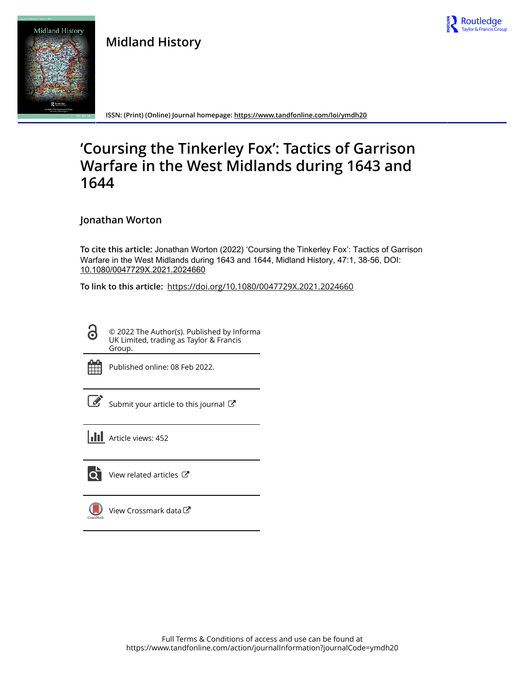

**Midland History**



**ISSN: (Print) (Online) Journal homepage:<https://www.tandfonline.com/loi/ymdh20>**

# **'Coursing the Tinkerley Fox': Tactics of Garrison Warfare in the West Midlands during 1643 and 1644**

**Jonathan Worton**

**To cite this article:** Jonathan Worton (2022) 'Coursing the Tinkerley Fox': Tactics of Garrison Warfare in the West Midlands during 1643 and 1644, Midland History, 47:1, 38-56, DOI: [10.1080/0047729X.2021.2024660](https://www.tandfonline.com/action/showCitFormats?doi=10.1080/0047729X.2021.2024660)

**To link to this article:** <https://doi.org/10.1080/0047729X.2021.2024660>

© 2022 The Author(s). Published by Informa UK Limited, trading as Taylor & Francis Group.



Q

Published online: 08 Feb 2022.

[Submit your article to this journal](https://www.tandfonline.com/action/authorSubmission?journalCode=ymdh20&show=instructions)  $\mathbb{Z}$ 

**III** Article views: 452



 $\overrightarrow{Q}$  [View related articles](https://www.tandfonline.com/doi/mlt/10.1080/0047729X.2021.2024660)  $\overrightarrow{C}$ 

[View Crossmark data](http://crossmark.crossref.org/dialog/?doi=10.1080/0047729X.2021.2024660&domain=pdf&date_stamp=2022-02-08) $\bm{\mathcal{C}}$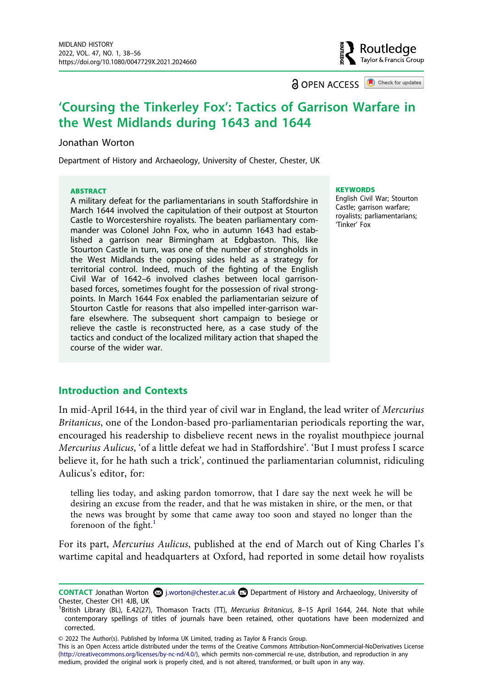**a** OPEN ACCESS **a** Check for updates

Routledae Tavlor & Francis Group

## **'Coursing the Tinkerley Fox': Tactics of Garrison Warfare in the West Midlands during 1643 and 1644**

#### Jonathan Worton

Department of History and Archaeology, University of Chester, Chester, UK

#### **ABSTRACT**

A military defeat for the parliamentarians in south Staffordshire in March 1644 involved the capitulation of their outpost at Stourton Castle to Worcestershire royalists. The beaten parliamentary commander was Colonel John Fox, who in autumn 1643 had established a garrison near Birmingham at Edgbaston. This, like Stourton Castle in turn, was one of the number of strongholds in the West Midlands the opposing sides held as a strategy for territorial control. Indeed, much of the fighting of the English Civil War of 1642–6 involved clashes between local garrisonbased forces, sometimes fought for the possession of rival strongpoints. In March 1644 Fox enabled the parliamentarian seizure of Stourton Castle for reasons that also impelled inter-garrison warfare elsewhere. The subsequent short campaign to besiege or relieve the castle is reconstructed here, as a case study of the tactics and conduct of the localized military action that shaped the course of the wider war.

#### **KEYWORDS**

English Civil War; Stourton Castle; garrison warfare; royalists; parliamentarians; 'Tinker' Fox

#### **Introduction and Contexts**

In mid-April 1644, in the third year of civil war in England, the lead writer of *Mercurius Britanicus*, one of the London-based pro-parliamentarian periodicals reporting the war, encouraged his readership to disbelieve recent news in the royalist mouthpiece journal *Mercurius Aulicus*, 'of a little defeat we had in Staffordshire'. 'But I must profess I scarce believe it, for he hath such a trick', continued the parliamentarian columnist, ridiculing Aulicus's editor, for:

telling lies today, and asking pardon tomorrow, that I dare say the next week he will be desiring an excuse from the reader, and that he was mistaken in shire, or the men, or that the news was brought by some that came away too soon and stayed no longer than the forenoon of the fight. $<sup>1</sup>$  $<sup>1</sup>$  $<sup>1</sup>$ </sup>

For its part, *Mercurius Aulicus*, published at the end of March out of King Charles I's wartime capital and headquarters at Oxford, had reported in some detail how royalists

This is an Open Access article distributed under the terms of the Creative Commons Attribution-NonCommercial-NoDerivatives License (http://creativecommons.org/licenses/by-nc-nd/4.0/), which permits non-commercial re-use, distribution, and reproduction in any medium, provided the original work is properly cited, and is not altered, transformed, or built upon in any way.

**CONTACT** Jonathan Worton **۞** j.worton@chester.ac.uk **Department of History and Archaeology, University of** Chester, Chester CH1 4JB, UK <sup>1</sup>

<span id="page-1-0"></span>British Library (BL), E.42(27), Thomason Tracts (TT), *Mercurius Britanicus*, 8–15 April 1644, 244. Note that while contemporary spellings of titles of journals have been retained, other quotations have been modernized and corrected.

<sup>© 2022</sup> The Author(s). Published by Informa UK Limited, trading as Taylor & Francis Group.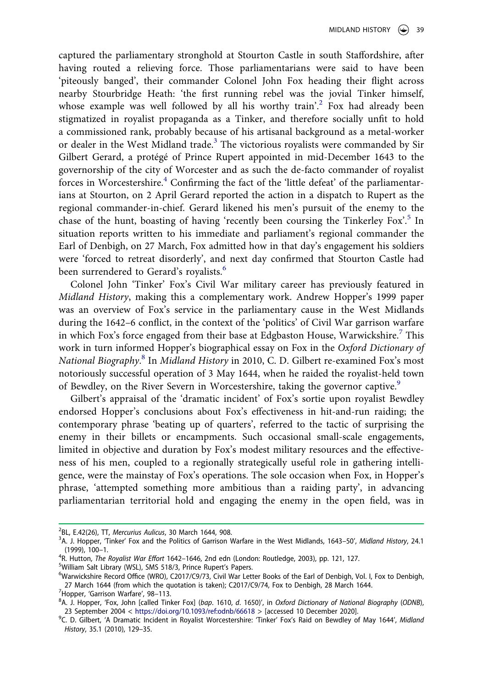captured the parliamentary stronghold at Stourton Castle in south Staffordshire, after having routed a relieving force. Those parliamentarians were said to have been 'piteously banged', their commander Colonel John Fox heading their flight across nearby Stourbridge Heath: 'the first running rebel was the jovial Tinker himself, whose example was well followed by all his worthy train'.<sup>2</sup> Fox had already been stigmatized in royalist propaganda as a Tinker, and therefore socially unfit to hold a commissioned rank, probably because of his artisanal background as a metal-worker or dealer in the West Midland trade.<sup>3</sup> The victorious royalists were commanded by Sir Gilbert Gerard, a protégé of Prince Rupert appointed in mid-December 1643 to the governorship of the city of Worcester and as such the de-facto commander of royalist forces in Worcestershire.<sup>4</sup> Confirming the fact of the 'little defeat' of the parliamentarians at Stourton, on 2 April Gerard reported the action in a dispatch to Rupert as the regional commander-in-chief. Gerard likened his men's pursuit of the enemy to the chase of the hunt, boasting of having 'recently been coursing the Tinkerley Fox'.<sup>5</sup> In situation reports written to his immediate and parliament's regional commander the Earl of Denbigh, on 27 March, Fox admitted how in that day's engagement his soldiers were 'forced to retreat disorderly', and next day confirmed that Stourton Castle had been surrendered to Gerard's royalists.<sup>[6](#page-2-4)</sup>

Colonel John 'Tinker' Fox's Civil War military career has previously featured in *Midland History*, making this a complementary work. Andrew Hopper's 1999 paper was an overview of Fox's service in the parliamentary cause in the West Midlands during the 1642–6 conflict, in the context of the 'politics' of Civil War garrison warfare in which Fox's force engaged from their base at Edgbaston House, Warwickshire.<sup>[7](#page-2-5)</sup> This work in turn informed Hopper's biographical essay on Fox in the *Oxford Dictionary of National Biography*. [8](#page-2-6) In *Midland History* in 2010, C. D. Gilbert re-examined Fox's most notoriously successful operation of 3 May 1644, when he raided the royalist-held town of Bewdley, on the River Severn in Worcestershire, taking the governor captive.<sup>9</sup>

Gilbert's appraisal of the 'dramatic incident' of Fox's sortie upon royalist Bewdley endorsed Hopper's conclusions about Fox's effectiveness in hit-and-run raiding; the contemporary phrase 'beating up of quarters', referred to the tactic of surprising the enemy in their billets or encampments. Such occasional small-scale engagements, limited in objective and duration by Fox's modest military resources and the effectiveness of his men, coupled to a regionally strategically useful role in gathering intelligence, were the mainstay of Fox's operations. The sole occasion when Fox, in Hopper's phrase, 'attempted something more ambitious than a raiding party', in advancing parliamentarian territorial hold and engaging the enemy in the open field, was in

<span id="page-2-0"></span><sup>&</sup>lt;sup>2</sup>BL, E.42(26), TT, *Mercurius Aulicus*, 30 March 1644, 908.<br><sup>3</sup>A L Hopper, 'Tipker' Fox and the Politics of Garrison.

<span id="page-2-1"></span><sup>&</sup>lt;sup>3</sup>A. J. Hopper, 'Tinker' Fox and the Politics of Garrison Warfare in the West Midlands, 1643–50', *Midland History*, 24.1<br>(1999), 100–1.  $(1999)$ , 100–1.<br><sup>4</sup>P Hutton *The* 

<span id="page-2-2"></span>R. Hutton, *The Royalist War Effort* 1642–1646, 2nd edn (London: Routledge, 2003), pp. 121, 127. <sup>5</sup>

<span id="page-2-3"></span><sup>&</sup>lt;sup>5</sup>William Salt Library (WSL), SMS 518/3, Prince Rupert's Papers.

<span id="page-2-4"></span><sup>&</sup>lt;sup>6</sup>Warwickshire Record Office (WRO), C2017/C9/73, Civil War Letter Books of the Earl of Denbigh, Vol. I, Fox to Denbigh, 27 March 1644 (from which the quotation is taken); C2017/C9/74, Fox to Denbigh, 28 March 1644.

<span id="page-2-5"></span><sup>&</sup>lt;sup>7</sup> Hopper, 'Garrison Warfare', 98-113.

<span id="page-2-6"></span>A. J. Hopper, 'Fox, John [called Tinker Fox] (*bap*. 1610, *d*. 1650)', in *Oxford Dictionary of National Biography* (*ODNB*), 23 September 2004 < <https://doi.org/10.1093/ref:odnb/66618> > [accessed 10 December 2020].

<span id="page-2-7"></span>C. D. Gilbert, 'A Dramatic Incident in Royalist Worcestershire: 'Tinker' Fox's Raid on Bewdley of May 1644', *Midland History*, 35.1 (2010), 129–35.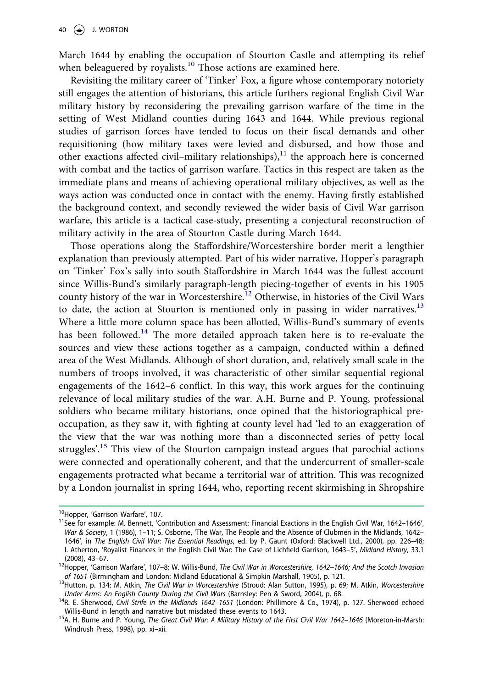March 1644 by enabling the occupation of Stourton Castle and attempting its relief when beleaguered by royalists. $10$  Those actions are examined here.

Revisiting the military career of 'Tinker' Fox, a figure whose contemporary notoriety still engages the attention of historians, this article furthers regional English Civil War military history by reconsidering the prevailing garrison warfare of the time in the setting of West Midland counties during 1643 and 1644. While previous regional studies of garrison forces have tended to focus on their fiscal demands and other requisitioning (how military taxes were levied and disbursed, and how those and other exactions affected civil–military relationships), $1<sup>11</sup>$  $1<sup>11</sup>$  $1<sup>11</sup>$  the approach here is concerned with combat and the tactics of garrison warfare. Tactics in this respect are taken as the immediate plans and means of achieving operational military objectives, as well as the ways action was conducted once in contact with the enemy. Having firstly established the background context, and secondly reviewed the wider basis of Civil War garrison warfare, this article is a tactical case-study, presenting a conjectural reconstruction of military activity in the area of Stourton Castle during March 1644.

Those operations along the Staffordshire/Worcestershire border merit a lengthier explanation than previously attempted. Part of his wider narrative, Hopper's paragraph on 'Tinker' Fox's sally into south Staffordshire in March 1644 was the fullest account since Willis-Bund's similarly paragraph-length piecing-together of events in his 1905 county history of the war in Worcestershire.<sup>[12](#page-3-2)</sup> Otherwise, in histories of the Civil Wars to date, the action at Stourton is mentioned only in passing in wider narratives.<sup>[13](#page-3-3)</sup> Where a little more column space has been allotted, Willis-Bund's summary of events has been followed.<sup>[14](#page-3-4)</sup> The more detailed approach taken here is to re-evaluate the sources and view these actions together as a campaign, conducted within a defined area of the West Midlands. Although of short duration, and, relatively small scale in the numbers of troops involved, it was characteristic of other similar sequential regional engagements of the 1642–6 conflict. In this way, this work argues for the continuing relevance of local military studies of the war. A.H. Burne and P. Young, professional soldiers who became military historians, once opined that the historiographical preoccupation, as they saw it, with fighting at county level had 'led to an exaggeration of the view that the war was nothing more than a disconnected series of petty local struggles'.<sup>15</sup> This view of the Stourton campaign instead argues that parochial actions were connected and operationally coherent, and that the undercurrent of smaller-scale engagements protracted what became a territorial war of attrition. This was recognized by a London journalist in spring 1644, who, reporting recent skirmishing in Shropshire

<span id="page-3-1"></span>

<span id="page-3-0"></span><sup>&</sup>lt;sup>10</sup>Hopper, 'Garrison Warfare', 107.<br><sup>11</sup>See for example: M. Bennett, 'Contribution and Assessment: Financial Exactions in the English Civil War, 1642–1646', *War & Society*, 1 (1986), 1–11; S. Osborne, 'The War, The People and the Absence of Clubmen in the Midlands, 1642– 1646ʹ, in *The English Civil War: The Essential Readings*, ed. by P. Gaunt (Oxford: Blackwell Ltd., 2000), pp. 226–48; I. Atherton, 'Royalist Finances in the English Civil War: The Case of Lichfield Garrison, 1643–5ʹ, *Midland History*, 33.1

<span id="page-3-2"></span><sup>&</sup>lt;sup>12</sup>Hopper, 'Garrison Warfare', 107–8; W. Willis-Bund, *The Civil War in Worcestershire, 1642–1646; And the Scotch Invasion of 1651* (Birmingham and London: Midland Educational & Simpkin Marshall, 1905), p. 121.

<span id="page-3-3"></span><sup>&</sup>lt;sup>13</sup>Hutton, p. 134; M. Atkin, The Civil War in Worcestershire (Stroud: Alan Sutton, 1995), p. 69; M. Atkin, Worcestershire<br>Under Arms: An English County During the Civil Wars (Barnsley: Pen & Sword, 2004), p. 68.

<span id="page-3-4"></span><sup>&</sup>lt;sup>14</sup>R. E. Sherwood, *Civil Strife in the Midlands 1642–1651* (London: Phillimore & Co., 1974), p. 127. Sherwood echoed<br>Willis-Bund in length and narrative but misdated these events to 1643.

<span id="page-3-5"></span><sup>&</sup>lt;sup>15</sup>A. H. Burne and P. Young, *The Great Civil War: A Military History of the First Civil War 1642–1646 (Moreton-in-Marsh:* Windrush Press, 1998), pp. xi–xii.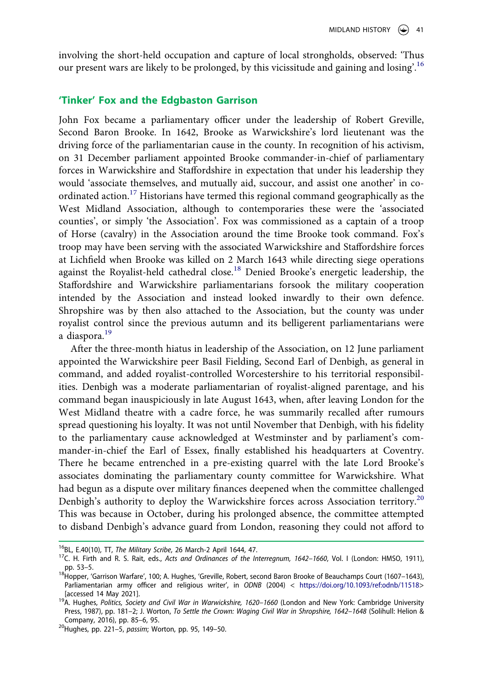involving the short-held occupation and capture of local strongholds, observed: 'Thus our present wars are likely to be prolonged, by this vicissitude and gaining and losing'.<sup>[16](#page-4-0)</sup>

#### **'Tinker' Fox and the Edgbaston Garrison**

John Fox became a parliamentary officer under the leadership of Robert Greville, Second Baron Brooke. In 1642, Brooke as Warwickshire's lord lieutenant was the driving force of the parliamentarian cause in the county. In recognition of his activism, on 31 December parliament appointed Brooke commander-in-chief of parliamentary forces in Warwickshire and Staffordshire in expectation that under his leadership they would 'associate themselves, and mutually aid, succour, and assist one another' in coordinated action.[17](#page-4-1) Historians have termed this regional command geographically as the West Midland Association, although to contemporaries these were the 'associated counties', or simply 'the Association'. Fox was commissioned as a captain of a troop of Horse (cavalry) in the Association around the time Brooke took command. Fox's troop may have been serving with the associated Warwickshire and Staffordshire forces at Lichfield when Brooke was killed on 2 March 1643 while directing siege operations against the Royalist-held cathedral close.<sup>[18](#page-4-2)</sup> Denied Brooke's energetic leadership, the Staffordshire and Warwickshire parliamentarians forsook the military cooperation intended by the Association and instead looked inwardly to their own defence. Shropshire was by then also attached to the Association, but the county was under royalist control since the previous autumn and its belligerent parliamentarians were a diaspora.[19](#page-4-3)

After the three-month hiatus in leadership of the Association, on 12 June parliament appointed the Warwickshire peer Basil Fielding, Second Earl of Denbigh, as general in command, and added royalist-controlled Worcestershire to his territorial responsibilities. Denbigh was a moderate parliamentarian of royalist-aligned parentage, and his command began inauspiciously in late August 1643, when, after leaving London for the West Midland theatre with a cadre force, he was summarily recalled after rumours spread questioning his loyalty. It was not until November that Denbigh, with his fidelity to the parliamentary cause acknowledged at Westminster and by parliament's commander-in-chief the Earl of Essex, finally established his headquarters at Coventry. There he became entrenched in a pre-existing quarrel with the late Lord Brooke's associates dominating the parliamentary county committee for Warwickshire. What had begun as a dispute over military finances deepened when the committee challenged Denbigh's authority to deploy the Warwickshire forces across Association territory.<sup>[20](#page-4-4)</sup> This was because in October, during his prolonged absence, the committee attempted to disband Denbigh's advance guard from London, reasoning they could not afford to

<span id="page-4-1"></span>

<span id="page-4-0"></span><sup>&</sup>lt;sup>16</sup>BL, E.40(10), TT, *The Military Scribe*, 26 March-2 April 1644, 47.<br><sup>17</sup>C. H. Firth and R. S. Rait, eds., *Acts and Ordinances of the Interregnum, 1642–1660,* Vol. I (London: HMSO, 1911),

<span id="page-4-2"></span>pp. 53–5.<br><sup>18</sup>Hopper, 'Garrison Warfare', 100; A. Hughes, 'Greville, Robert, second Baron Brooke of Beauchamps Court (1607–1643), Parliamentarian army officer and religious writer', in *ODNB* (2004) < <https://doi.org/10.1093/ref:odnb/11518>>

<span id="page-4-3"></span><sup>[</sup>accessed 14 May 2021]. 19A. Hughes, *Politics, Society and Civil War in Warwickshire, 1620–1660* (London and New York: Cambridge University Press, 1987), pp. 181-2; J. Worton, *To Settle the Crown: Waging Civil War in Shropshire, 1642-1648 (Solihull: Helion &* Company, 2016), pp. 85–6, 95. 20Hughes, pp. 221–5, *passim*; Worton, pp. 95, 149–50.

<span id="page-4-4"></span>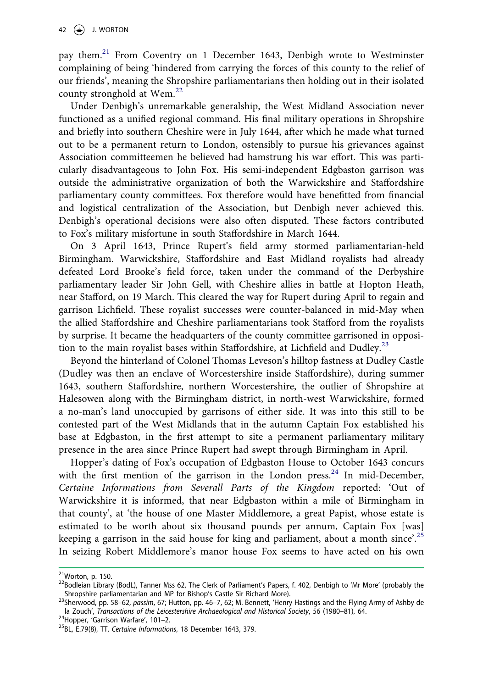pay them.<sup>21</sup> From Coventry on 1 December 1643, Denbigh wrote to Westminster complaining of being 'hindered from carrying the forces of this county to the relief of our friends', meaning the Shropshire parliamentarians then holding out in their isolated county stronghold at Wem. $^{22}$  $^{22}$  $^{22}$ 

Under Denbigh's unremarkable generalship, the West Midland Association never functioned as a unified regional command. His final military operations in Shropshire and briefly into southern Cheshire were in July 1644, after which he made what turned out to be a permanent return to London, ostensibly to pursue his grievances against Association committeemen he believed had hamstrung his war effort. This was particularly disadvantageous to John Fox. His semi-independent Edgbaston garrison was outside the administrative organization of both the Warwickshire and Staffordshire parliamentary county committees. Fox therefore would have benefitted from financial and logistical centralization of the Association, but Denbigh never achieved this. Denbigh's operational decisions were also often disputed. These factors contributed to Fox's military misfortune in south Staffordshire in March 1644.

On 3 April 1643, Prince Rupert's field army stormed parliamentarian-held Birmingham. Warwickshire, Staffordshire and East Midland royalists had already defeated Lord Brooke's field force, taken under the command of the Derbyshire parliamentary leader Sir John Gell, with Cheshire allies in battle at Hopton Heath, near Stafford, on 19 March. This cleared the way for Rupert during April to regain and garrison Lichfield. These royalist successes were counter-balanced in mid-May when the allied Staffordshire and Cheshire parliamentarians took Stafford from the royalists by surprise. It became the headquarters of the county committee garrisoned in opposi-tion to the main royalist bases within Staffordshire, at Lichfield and Dudley.<sup>[23](#page-5-2)</sup>

Beyond the hinterland of Colonel Thomas Leveson's hilltop fastness at Dudley Castle (Dudley was then an enclave of Worcestershire inside Staffordshire), during summer 1643, southern Staffordshire, northern Worcestershire, the outlier of Shropshire at Halesowen along with the Birmingham district, in north-west Warwickshire, formed a no-man's land unoccupied by garrisons of either side. It was into this still to be contested part of the West Midlands that in the autumn Captain Fox established his base at Edgbaston, in the first attempt to site a permanent parliamentary military presence in the area since Prince Rupert had swept through Birmingham in April.

Hopper's dating of Fox's occupation of Edgbaston House to October 1643 concurs with the first mention of the garrison in the London press.<sup>24</sup> In mid-December, *Certaine Informations from Severall Parts of the Kingdom* reported: 'Out of Warwickshire it is informed, that near Edgbaston within a mile of Birmingham in that county', at 'the house of one Master Middlemore, a great Papist, whose estate is estimated to be worth about six thousand pounds per annum, Captain Fox [was] keeping a garrison in the said house for king and parliament, about a month since'.<sup>[25](#page-5-4)</sup> In seizing Robert Middlemore's manor house Fox seems to have acted on his own

<span id="page-5-1"></span>

<span id="page-5-0"></span><sup>&</sup>lt;sup>21</sup>Worton, p. 150.<br><sup>22</sup>Bodleian Library (BodL), Tanner Mss 62, The Clerk of Parliament's Papers, f. 402, Denbigh to 'Mr More' (probably the<br>Shropshire parliamentarian and MP for Bishop's Castle Sir Richard More).

<span id="page-5-2"></span><sup>&</sup>lt;sup>23</sup>Sherwood, pp. 58–62, *passim*, 67; Hutton, pp. 46–7, 62; M. Bennett, 'Henry Hastings and the Flying Army of Ashby de la Zouch', *Transactions of the Leicestershire Archaeological and Historical Society*, 56 (1980–81), 64. <sup>24</sup>Hopper, 'Garrison Warfare', 101–2. <sup>25</sup>BL, E.79(8), TT, *Certaine Informations*, 18 December 1643, 379.

<span id="page-5-3"></span>

<span id="page-5-4"></span>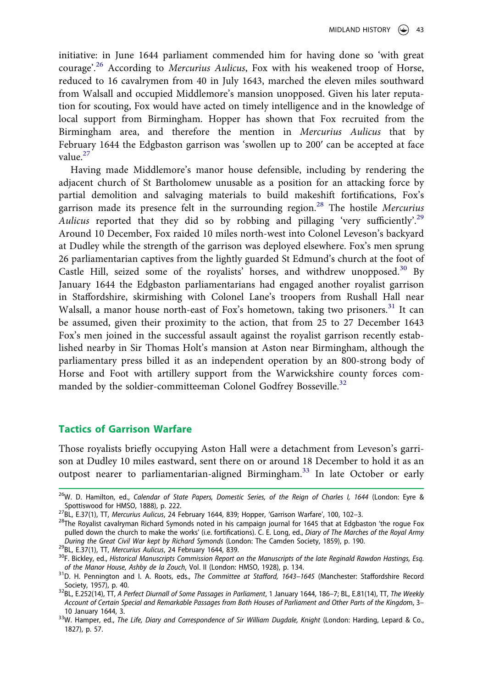initiative: in June 1644 parliament commended him for having done so 'with great courage'.[26](#page-6-0) According to *Mercurius Aulicus*, Fox with his weakened troop of Horse, reduced to 16 cavalrymen from 40 in July 1643, marched the eleven miles southward from Walsall and occupied Middlemore's mansion unopposed. Given his later reputation for scouting, Fox would have acted on timely intelligence and in the knowledge of local support from Birmingham. Hopper has shown that Fox recruited from the Birmingham area, and therefore the mention in *Mercurius Aulicus* that by February 1644 the Edgbaston garrison was 'swollen up to 200ʹ can be accepted at face value.[27](#page-6-1)

Having made Middlemore's manor house defensible, including by rendering the adjacent church of St Bartholomew unusable as a position for an attacking force by partial demolition and salvaging materials to build makeshift fortifications, Fox's garrison made its presence felt in the surrounding region.[28](#page-6-2) The hostile *Mercurius Aulicus* reported that they did so by robbing and pillaging 'very sufficiently'.<sup>[29](#page-6-3)</sup> Around 10 December, Fox raided 10 miles north-west into Colonel Leveson's backyard at Dudley while the strength of the garrison was deployed elsewhere. Fox's men sprung 26 parliamentarian captives from the lightly guarded St Edmund's church at the foot of Castle Hill, seized some of the royalists' horses, and withdrew unopposed.<sup>30</sup> By January 1644 the Edgbaston parliamentarians had engaged another royalist garrison in Staffordshire, skirmishing with Colonel Lane's troopers from Rushall Hall near Walsall, a manor house north-east of Fox's hometown, taking two prisoners.<sup>31</sup> It can be assumed, given their proximity to the action, that from 25 to 27 December 1643 Fox's men joined in the successful assault against the royalist garrison recently established nearby in Sir Thomas Holt's mansion at Aston near Birmingham, although the parliamentary press billed it as an independent operation by an 800-strong body of Horse and Foot with artillery support from the Warwickshire county forces com-manded by the soldier-committeeman Colonel Godfrey Bosseville.<sup>[32](#page-6-6)</sup>

#### **Tactics of Garrison Warfare**

Those royalists briefly occupying Aston Hall were a detachment from Leveson's garrison at Dudley 10 miles eastward, sent there on or around 18 December to hold it as an outpost nearer to parliamentarian-aligned Birmingham.<sup>[33](#page-6-7)</sup> In late October or early

<span id="page-6-4"></span>

<span id="page-6-0"></span><sup>&</sup>lt;sup>26</sup>W. D. Hamilton, ed., *Calendar of State Papers, Domestic Series, of the Reign of Charles I, 1644* (London: Eyre &<br>Spottiswood for HMSO, 1888), p. 222.

<span id="page-6-2"></span>

<span id="page-6-1"></span><sup>&</sup>lt;sup>27</sup>BL, E.37(1), TT, *Mercurius Aulicus*, 24 February 1644, 839; Hopper, 'Garrison Warfare', 100, 102–3.<br><sup>28</sup>The Royalist cavalryman Richard Symonds noted in his campaign journal for 1645 that at Edgbaston 'the rogue Fox pulled down the church to make the works' (i.e. fortifications). C. E. Long, ed., *Diary of The Marches of the Royal Army* 

<span id="page-6-3"></span><sup>&</sup>lt;sup>29</sup>BL, E.37(1), TT, Mercurius Aulicus, 24 February 1644, 839.<br><sup>30</sup>F. Bickley, ed., Historical Manuscripts Commission Report on the Manuscripts of the late Reginald Rawdon Hastings, Esq.<br>of the Manor House, Ashby de la Zo

<span id="page-6-5"></span>*of the Manor House, Ashby de la Zouch*, Vol. II (London: HMSO, 1928), p. 134. 31D. H. Pennington and I. A. Roots, eds., *The Committee at Stafford, 1643–1645* (Manchester: Staffordshire Record

<span id="page-6-6"></span>Society, 1957), p. 40. 32BL, E.252(14), TT, *A Perfect Diurnall of Some Passages in Parliament*, 1 January 1644, 186–7; BL, E.81(14), TT, *The Weekly Account of Certain Special and Remarkable Passages from Both Houses of Parliament and Other Parts of the Kingdo*m, 3– 10 January 1644, 3. 33W. Hamper, ed., *The Life, Diary and Correspondence of Sir William Dugdale, Knight* (London: Harding, Lepard & Co.,

<span id="page-6-7"></span><sup>1827),</sup> p. 57.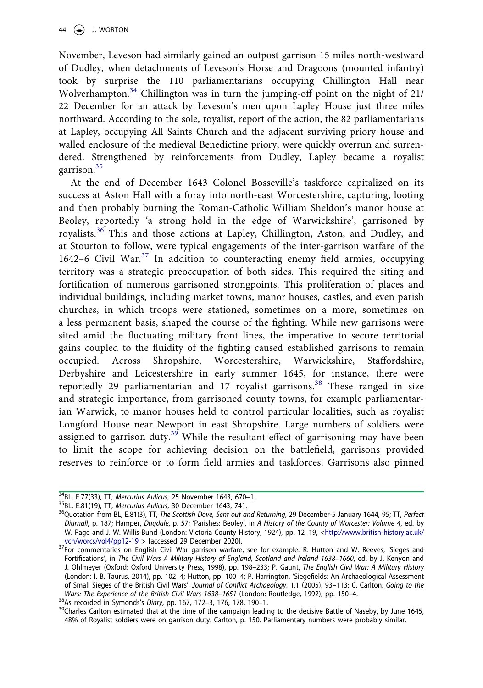November, Leveson had similarly gained an outpost garrison 15 miles north-westward of Dudley, when detachments of Leveson's Horse and Dragoons (mounted infantry) took by surprise the 110 parliamentarians occupying Chillington Hall near Wolverhampton.<sup>34</sup> Chillington was in turn the jumping-off point on the night of 21/ 22 December for an attack by Leveson's men upon Lapley House just three miles northward. According to the sole, royalist, report of the action, the 82 parliamentarians at Lapley, occupying All Saints Church and the adjacent surviving priory house and walled enclosure of the medieval Benedictine priory, were quickly overrun and surrendered. Strengthened by reinforcements from Dudley, Lapley became a royalist garrison[.35](#page-7-1)

At the end of December 1643 Colonel Bosseville's taskforce capitalized on its success at Aston Hall with a foray into north-east Worcestershire, capturing, looting and then probably burning the Roman-Catholic William Sheldon's manor house at Beoley, reportedly 'a strong hold in the edge of Warwickshire', garrisoned by royalists.[36](#page-7-2) This and those actions at Lapley, Chillington, Aston, and Dudley, and at Stourton to follow, were typical engagements of the inter-garrison warfare of the 1642–6 Civil War. $37$  In addition to counteracting enemy field armies, occupying territory was a strategic preoccupation of both sides. This required the siting and fortification of numerous garrisoned strongpoints. This proliferation of places and individual buildings, including market towns, manor houses, castles, and even parish churches, in which troops were stationed, sometimes on a more, sometimes on a less permanent basis, shaped the course of the fighting. While new garrisons were sited amid the fluctuating military front lines, the imperative to secure territorial gains coupled to the fluidity of the fighting caused established garrisons to remain occupied. Across Shropshire, Worcestershire, Warwickshire, Staffordshire, Derbyshire and Leicestershire in early summer 1645, for instance, there were reportedly 29 parliamentarian and 17 royalist garrisons.<sup>[38](#page-7-4)</sup> These ranged in size and strategic importance, from garrisoned county towns, for example parliamentarian Warwick, to manor houses held to control particular localities, such as royalist Longford House near Newport in east Shropshire. Large numbers of soldiers were assigned to garrison duty.<sup>[39](#page-7-5)</sup> While the resultant effect of garrisoning may have been to limit the scope for achieving decision on the battlefield, garrisons provided reserves to reinforce or to form field armies and taskforces. Garrisons also pinned

<span id="page-7-2"></span><span id="page-7-1"></span>

<span id="page-7-0"></span> $^{34}$ BL, E.77(33), TT, Mercurius Aulicus, 25 November 1643, 670–1.<br><sup>35</sup>BL, E.81(19), TT, Mercurius Aulicus, 30 December 1643, 741.<br><sup>36</sup>Quotation from BL, E.81(3), TT, *The Scottish Dove, Sent out and Returning*, 29 Decem *Diurnall*, p. 187; Hamper, *Dugdale*, p. 57; 'Parishes: Beoley', in *A History of the County of Worcester: Volume 4*, ed. by W. Page and J. W. Willis-Bund (London: Victoria County History, 1924), pp. 12–19, <[http://www.british-history.ac.uk/](http://www.british-history.ac.uk/vch/worcs/vol4/pp12-19)

<span id="page-7-3"></span>[vch/worcs/vol4/pp12-19](http://www.british-history.ac.uk/vch/worcs/vol4/pp12-19) > [accessed 29 December 2020].<br><sup>37</sup>For commentaries on English Civil War garrison warfare, see for example: R. Hutton and W. Reeves, 'Sieges and Fortifications', in *The Civil Wars A Military History of England, Scotland and Ireland 1638–1660*, ed. by J. Kenyon and J. Ohlmeyer (Oxford: Oxford University Press, 1998), pp. 198–233; P. Gaunt, *The English Civil War: A Military History*  (London: I. B. Taurus, 2014), pp. 102–4; Hutton, pp. 100–4; P. Harrington, 'Siegefields: An Archaeological Assessment of Small Sieges of the British Civil Wars', *Journal of Conflict Archaeology*, 1.1 (2005), 93–113; C. Carlton, *Going to the* 

<span id="page-7-5"></span><span id="page-7-4"></span>

Wars: The Experience of the British Civil Wars 1638–1651 (London: Routledge, 1992), pp. 150–4.<br><sup>38</sup>As recorded in Symonds's Diary, pp. 167, 172–3, 176, 178, 190–1.<br><sup>39</sup>Charles Carlton estimated that at the time of the camp 48% of Royalist soldiers were on garrison duty. Carlton, p. 150. Parliamentary numbers were probably similar.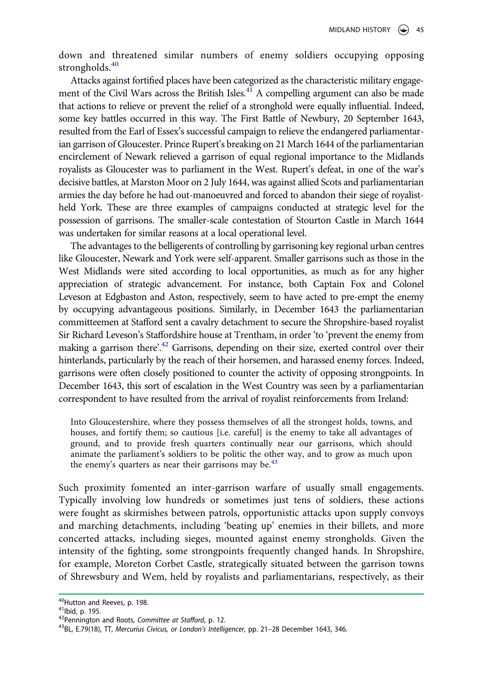down and threatened similar numbers of enemy soldiers occupying opposing strongholds.<sup>[40](#page-8-0)</sup>

Attacks against fortified places have been categorized as the characteristic military engagement of the Civil Wars across the British Isles.<sup>41</sup> A compelling argument can also be made that actions to relieve or prevent the relief of a stronghold were equally influential. Indeed, some key battles occurred in this way. The First Battle of Newbury, 20 September 1643, resulted from the Earl of Essex's successful campaign to relieve the endangered parliamentarian garrison of Gloucester. Prince Rupert's breaking on 21 March 1644 of the parliamentarian encirclement of Newark relieved a garrison of equal regional importance to the Midlands royalists as Gloucester was to parliament in the West. Rupert's defeat, in one of the war's decisive battles, at Marston Moor on 2 July 1644, was against allied Scots and parliamentarian armies the day before he had out-manoeuvred and forced to abandon their siege of royalistheld York. These are three examples of campaigns conducted at strategic level for the possession of garrisons. The smaller-scale contestation of Stourton Castle in March 1644 was undertaken for similar reasons at a local operational level.

The advantages to the belligerents of controlling by garrisoning key regional urban centres like Gloucester, Newark and York were self-apparent. Smaller garrisons such as those in the West Midlands were sited according to local opportunities, as much as for any higher appreciation of strategic advancement. For instance, both Captain Fox and Colonel Leveson at Edgbaston and Aston, respectively, seem to have acted to pre-empt the enemy by occupying advantageous positions. Similarly, in December 1643 the parliamentarian committeemen at Stafford sent a cavalry detachment to secure the Shropshire-based royalist Sir Richard Leveson's Staffordshire house at Trentham, in order 'to 'prevent the enemy from making a garrison there'.<sup>42</sup> Garrisons, depending on their size, exerted control over their hinterlands, particularly by the reach of their horsemen, and harassed enemy forces. Indeed, garrisons were often closely positioned to counter the activity of opposing strongpoints. In December 1643, this sort of escalation in the West Country was seen by a parliamentarian correspondent to have resulted from the arrival of royalist reinforcements from Ireland:

Into Gloucestershire, where they possess themselves of all the strongest holds, towns, and houses, and fortify them; so cautious [i.e. careful] is the enemy to take all advantages of ground, and to provide fresh quarters continually near our garrisons, which should animate the parliament's soldiers to be politic the other way, and to grow as much upon the enemy's quarters as near their garrisons may be. $43$ 

Such proximity fomented an inter-garrison warfare of usually small engagements. Typically involving low hundreds or sometimes just tens of soldiers, these actions were fought as skirmishes between patrols, opportunistic attacks upon supply convoys and marching detachments, including 'beating up' enemies in their billets, and more concerted attacks, including sieges, mounted against enemy strongholds. Given the intensity of the fighting, some strongpoints frequently changed hands. In Shropshire, for example, Moreton Corbet Castle, strategically situated between the garrison towns of Shrewsbury and Wem, held by royalists and parliamentarians, respectively, as their

<span id="page-8-1"></span>

<span id="page-8-3"></span><span id="page-8-2"></span>

<span id="page-8-0"></span><sup>&</sup>lt;sup>40</sup>Hutton and Reeves, p. 198.<br><sup>41</sup>Ibid, p. 195.<br><sup>42</sup>Pennington and Roots, *Committee at Stafford*, p. 12.<br><sup>43</sup>BL, E.79(18), TT, *Mercurius Civicus, or London's Intelligencer*, pp. 21–28 December 1643, 346.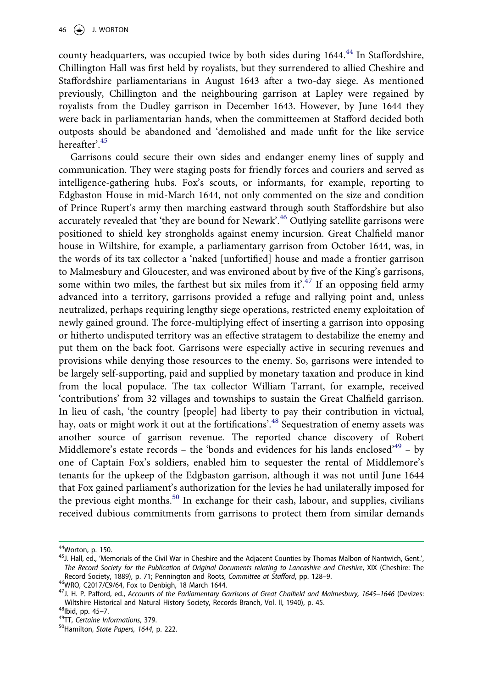county headquarters, was occupied twice by both sides during 1644.<sup>44</sup> In Staffordshire, Chillington Hall was first held by royalists, but they surrendered to allied Cheshire and Staffordshire parliamentarians in August 1643 after a two-day siege. As mentioned previously, Chillington and the neighbouring garrison at Lapley were regained by royalists from the Dudley garrison in December 1643. However, by June 1644 they were back in parliamentarian hands, when the committeemen at Stafford decided both outposts should be abandoned and 'demolished and made unfit for the like service hereafter'.[45](#page-9-1)

Garrisons could secure their own sides and endanger enemy lines of supply and communication. They were staging posts for friendly forces and couriers and served as intelligence-gathering hubs. Fox's scouts, or informants, for example, reporting to Edgbaston House in mid-March 1644, not only commented on the size and condition of Prince Rupert's army then marching eastward through south Staffordshire but also accurately revealed that 'they are bound for Newark'.<sup>[46](#page-9-2)</sup> Outlying satellite garrisons were positioned to shield key strongholds against enemy incursion. Great Chalfield manor house in Wiltshire, for example, a parliamentary garrison from October 1644, was, in the words of its tax collector a 'naked [unfortified] house and made a frontier garrison to Malmesbury and Gloucester, and was environed about by five of the King's garrisons, some within two miles, the farthest but six miles from it'.<sup>47</sup> If an opposing field army advanced into a territory, garrisons provided a refuge and rallying point and, unless neutralized, perhaps requiring lengthy siege operations, restricted enemy exploitation of newly gained ground. The force-multiplying effect of inserting a garrison into opposing or hitherto undisputed territory was an effective stratagem to destabilize the enemy and put them on the back foot. Garrisons were especially active in securing revenues and provisions while denying those resources to the enemy. So, garrisons were intended to be largely self-supporting, paid and supplied by monetary taxation and produce in kind from the local populace. The tax collector William Tarrant, for example, received 'contributions' from 32 villages and townships to sustain the Great Chalfield garrison. In lieu of cash, 'the country [people] had liberty to pay their contribution in victual, hay, oats or might work it out at the fortifications'.<sup>48</sup> Sequestration of enemy assets was another source of garrison revenue. The reported chance discovery of Robert Middlemore's estate records – the 'bonds and evidences for his lands enclosed'<sup>[49](#page-9-5)</sup> – by one of Captain Fox's soldiers, enabled him to sequester the rental of Middlemore's tenants for the upkeep of the Edgbaston garrison, although it was not until June 1644 that Fox gained parliament's authorization for the levies he had unilaterally imposed for the previous eight months.<sup>[50](#page-9-6)</sup> In exchange for their cash, labour, and supplies, civilians received dubious commitments from garrisons to protect them from similar demands

<span id="page-9-1"></span>

<span id="page-9-0"></span><sup>&</sup>lt;sup>44</sup>Worton, p. 150.<br><sup>45</sup>J. Hall, ed., 'Memorials of the Civil War in Cheshire and the Adjacent Counties by Thomas Malbon of Nantwich, Gent.', The Record Society for the Publication of Original Documents relating to Lancashire and Cheshire, XIX (Cheshire: The<br>Record Society, 1889), p. 71; Pennington and Roots, Committee at Stafford, pp. 128-9.

<span id="page-9-3"></span>

<span id="page-9-2"></span><sup>&</sup>lt;sup>46</sup>WRO, C2017/C9/64, Fox to Denbigh, 18 March 1644.<br><sup>47</sup>J. H. P. Pafford, ed., Accounts of the Parliamentary Garrisons of Great Chalfield and Malmesbury, 1645–1646 (Devizes: Wiltshire Historical and Natural History Society, Records Branch, Vol. II, 1940), p. 45.<br><sup>48</sup>Ibid, pp. 45–7.<br><sup>49</sup>TT, *Certaine Informations*, 379.<br><sup>50</sup>Hamilton, *State Papers, 1644*, p. 222.

<span id="page-9-5"></span><span id="page-9-4"></span>

<span id="page-9-6"></span>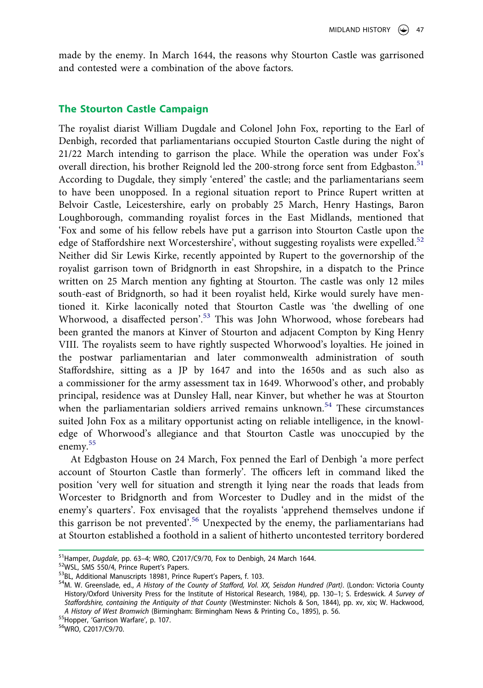made by the enemy. In March 1644, the reasons why Stourton Castle was garrisoned and contested were a combination of the above factors.

#### **The Stourton Castle Campaign**

The royalist diarist William Dugdale and Colonel John Fox, reporting to the Earl of Denbigh, recorded that parliamentarians occupied Stourton Castle during the night of 21/22 March intending to garrison the place. While the operation was under Fox's overall direction, his brother Reignold led the 200-strong force sent from Edgbaston.<sup>[51](#page-10-0)</sup> According to Dugdale, they simply 'entered' the castle; and the parliamentarians seem to have been unopposed. In a regional situation report to Prince Rupert written at Belvoir Castle, Leicestershire, early on probably 25 March, Henry Hastings, Baron Loughborough, commanding royalist forces in the East Midlands, mentioned that 'Fox and some of his fellow rebels have put a garrison into Stourton Castle upon the edge of Staffordshire next Worcestershire', without suggesting royalists were expelled.<sup>[52](#page-10-1)</sup> Neither did Sir Lewis Kirke, recently appointed by Rupert to the governorship of the royalist garrison town of Bridgnorth in east Shropshire, in a dispatch to the Prince written on 25 March mention any fighting at Stourton. The castle was only 12 miles south-east of Bridgnorth, so had it been royalist held, Kirke would surely have mentioned it. Kirke laconically noted that Stourton Castle was 'the dwelling of one Whorwood, a disaffected person'.<sup>53</sup> This was John Whorwood, whose forebears had been granted the manors at Kinver of Stourton and adjacent Compton by King Henry VIII. The royalists seem to have rightly suspected Whorwood's loyalties. He joined in the postwar parliamentarian and later commonwealth administration of south Staffordshire, sitting as a JP by 1647 and into the 1650s and as such also as a commissioner for the army assessment tax in 1649. Whorwood's other, and probably principal, residence was at Dunsley Hall, near Kinver, but whether he was at Stourton when the parliamentarian soldiers arrived remains unknown.<sup>[54](#page-10-3)</sup> These circumstances suited John Fox as a military opportunist acting on reliable intelligence, in the knowledge of Whorwood's allegiance and that Stourton Castle was unoccupied by the enemy.<sup>[55](#page-10-4)</sup>

At Edgbaston House on 24 March, Fox penned the Earl of Denbigh 'a more perfect account of Stourton Castle than formerly'. The officers left in command liked the position 'very well for situation and strength it lying near the roads that leads from Worcester to Bridgnorth and from Worcester to Dudley and in the midst of the enemy's quarters'. Fox envisaged that the royalists 'apprehend themselves undone if this garrison be not prevented'.<sup>[56](#page-10-5)</sup> Unexpected by the enemy, the parliamentarians had at Stourton established a foothold in a salient of hitherto uncontested territory bordered

<span id="page-10-4"></span>

<span id="page-10-5"></span>

<span id="page-10-1"></span>

<span id="page-10-3"></span><span id="page-10-2"></span>

<span id="page-10-0"></span><sup>&</sup>lt;sup>51</sup>Hamper, *Dugdale*, pp. 63–4; WRO, C2017/C9/70, Fox to Denbigh, 24 March 1644.<br><sup>52</sup>WSL, SMS 550/4, Prince Rupert's Papers.<br><sup>53</sup>BL, Additional Manuscripts 18981, Prince Rupert's Papers, f. 103.<br><sup>54</sup>M. W. Greenslade, ed., History/Oxford University Press for the Institute of Historical Research, 1984), pp. 130–1; S. Erdeswick. *A Survey of Staffordshire, containing the Antiquity of that County* (Westminster: Nichols & Son, 1844), pp. xv, xix; W. Hackwood, *A History of West Bromwich* (Birmingham: Birmingham News & Printing Co., 1895), p. 56. <sup>55</sup>Hopper, 'Garrison Warfare', p. 107.<br><sup>55</sup>MRO, C2017/C9/70.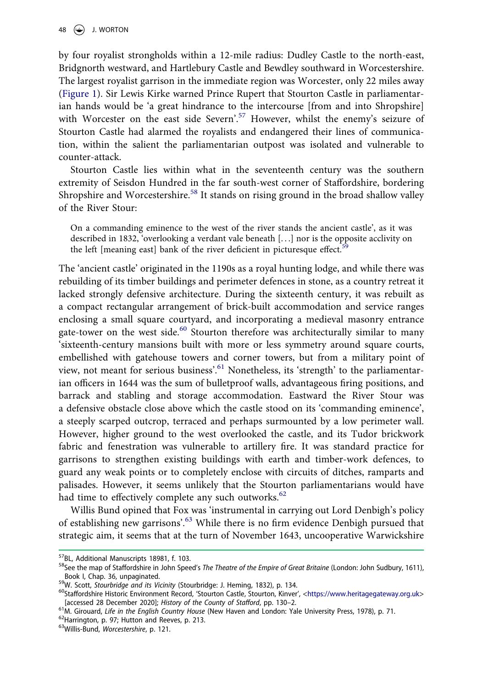by four royalist strongholds within a 12-mile radius: Dudley Castle to the north-east, Bridgnorth westward, and Hartlebury Castle and Bewdley southward in Worcestershire. The largest royalist garrison in the immediate region was Worcester, only 22 miles away ([Figure 1](#page-12-0)). Sir Lewis Kirke warned Prince Rupert that Stourton Castle in parliamentarian hands would be 'a great hindrance to the intercourse [from and into Shropshire] with Worcester on the east side Severn'.<sup>57</sup> However, whilst the enemy's seizure of Stourton Castle had alarmed the royalists and endangered their lines of communication, within the salient the parliamentarian outpost was isolated and vulnerable to counter-attack.

Stourton Castle lies within what in the seventeenth century was the southern extremity of Seisdon Hundred in the far south-west corner of Staffordshire, bordering Shropshire and Worcestershire.<sup>[58](#page-11-1)</sup> It stands on rising ground in the broad shallow valley of the River Stour:

On a commanding eminence to the west of the river stands the ancient castle', as it was described in 1832, 'overlooking a verdant vale beneath [. . .] nor is the opposite acclivity on the left [meaning east] bank of the river deficient in picturesque effect.<sup>5</sup>

The 'ancient castle' originated in the 1190s as a royal hunting lodge, and while there was rebuilding of its timber buildings and perimeter defences in stone, as a country retreat it lacked strongly defensive architecture. During the sixteenth century, it was rebuilt as a compact rectangular arrangement of brick-built accommodation and service ranges enclosing a small square courtyard, and incorporating a medieval masonry entrance gate-tower on the west side. $60$  Stourton therefore was architecturally similar to many 'sixteenth-century mansions built with more or less symmetry around square courts, embellished with gatehouse towers and corner towers, but from a military point of view, not meant for serious business'.<sup>[61](#page-11-4)</sup> Nonetheless, its 'strength' to the parliamentarian officers in 1644 was the sum of bulletproof walls, advantageous firing positions, and barrack and stabling and storage accommodation. Eastward the River Stour was a defensive obstacle close above which the castle stood on its 'commanding eminence', a steeply scarped outcrop, terraced and perhaps surmounted by a low perimeter wall. However, higher ground to the west overlooked the castle, and its Tudor brickwork fabric and fenestration was vulnerable to artillery fire. It was standard practice for garrisons to strengthen existing buildings with earth and timber-work defences, to guard any weak points or to completely enclose with circuits of ditches, ramparts and palisades. However, it seems unlikely that the Stourton parliamentarians would have had time to effectively complete any such outworks.<sup>[62](#page-11-5)</sup>

Willis Bund opined that Fox was 'instrumental in carrying out Lord Denbigh's policy of establishing new garrisons'[.63](#page-11-6) While there is no firm evidence Denbigh pursued that strategic aim, it seems that at the turn of November 1643, uncooperative Warwickshire

<span id="page-11-1"></span>

<span id="page-11-0"></span><sup>&</sup>lt;sup>57</sup>BL, Additional Manuscripts 18981, f. 103.<br><sup>58</sup>See the map of Staffordshire in John Speed's *The Theatre of the Empire of Great Britaine* (London: John Sudbury, 1611),<br>Book I, Chap. 36, unpaginated.

<span id="page-11-3"></span>

<span id="page-11-2"></span><sup>&</sup>lt;sup>59</sup>W. Scott, Stourbridge and its Vicinity (Stourbridge: J. Heming, 1832), p. 134.<br><sup>60</sup>Staffordshire Historic Environment Record, 'Stourton Castle, Stourton, Kinver', [<https://www.heritagegateway.org.uk](https://www.heritagegateway.org.uk)> [accessed 28 Dece

<span id="page-11-4"></span><sup>&</sup>lt;sup>61</sup> M. Girouard, Life in the English Country House (New Haven and London: Yale University Press, 1978), p. 71.<br><sup>62</sup> Harrington, p. 97; Hutton and Reeves, p. 213.<br><sup>63</sup> Willis-Bund, *Worcestershire*, p. 121.

<span id="page-11-6"></span><span id="page-11-5"></span>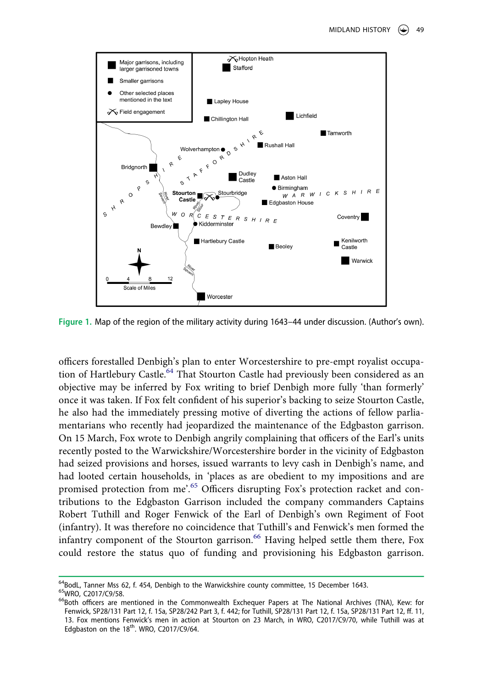

<span id="page-12-0"></span>**Figure 1.** Map of the region of the military activity during 1643–44 under discussion. (Author's own).

officers forestalled Denbigh's plan to enter Worcestershire to pre-empt royalist occupa-tion of Hartlebury Castle.<sup>[64](#page-12-1)</sup> That Stourton Castle had previously been considered as an objective may be inferred by Fox writing to brief Denbigh more fully 'than formerly' once it was taken. If Fox felt confident of his superior's backing to seize Stourton Castle, he also had the immediately pressing motive of diverting the actions of fellow parliamentarians who recently had jeopardized the maintenance of the Edgbaston garrison. On 15 March, Fox wrote to Denbigh angrily complaining that officers of the Earl's units recently posted to the Warwickshire/Worcestershire border in the vicinity of Edgbaston had seized provisions and horses, issued warrants to levy cash in Denbigh's name, and had looted certain households, in 'places as are obedient to my impositions and are promised protection from me'.<sup>[65](#page-12-2)</sup> Officers disrupting Fox's protection racket and contributions to the Edgbaston Garrison included the company commanders Captains Robert Tuthill and Roger Fenwick of the Earl of Denbigh's own Regiment of Foot (infantry). It was therefore no coincidence that Tuthill's and Fenwick's men formed the infantry component of the Stourton garrison.<sup>[66](#page-12-3)</sup> Having helped settle them there, Fox could restore the status quo of funding and provisioning his Edgbaston garrison.

<span id="page-12-3"></span><span id="page-12-2"></span><span id="page-12-1"></span>

<sup>&</sup>lt;sup>64</sup>BodL, Tanner Mss 62, f. 454, Denbigh to the Warwickshire county committee, 15 December 1643.<br><sup>65</sup>WRO, C2017/C9/58.<br><sup>66</sup>Both officers are mentioned in the Commonwealth Exchequer Papers at The National Archives (TNA), K Fenwick, SP28/131 Part 12, f. 15a, SP28/242 Part 3, f. 442; for Tuthill, SP28/131 Part 12, f. 15a, SP28/131 Part 12, ff. 11, 13. Fox mentions Fenwick's men in action at Stourton on 23 March, in WRO, C2017/C9/70, while Tuthill was at Edgbaston on the  $18<sup>th</sup>$ . WRO, C2017/C9/64.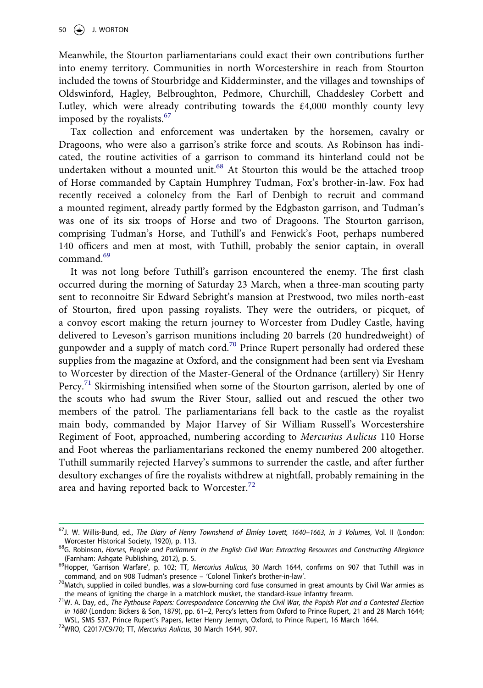Meanwhile, the Stourton parliamentarians could exact their own contributions further into enemy territory. Communities in north Worcestershire in reach from Stourton included the towns of Stourbridge and Kidderminster, and the villages and townships of Oldswinford, Hagley, Belbroughton, Pedmore, Churchill, Chaddesley Corbett and Lutley, which were already contributing towards the  $\text{\pounds}4,000$  monthly county levy imposed by the royalists.<sup>[67](#page-13-0)</sup>

Tax collection and enforcement was undertaken by the horsemen, cavalry or Dragoons, who were also a garrison's strike force and scouts. As Robinson has indicated, the routine activities of a garrison to command its hinterland could not be undertaken without a mounted unit.<sup>[68](#page-13-1)</sup> At Stourton this would be the attached troop of Horse commanded by Captain Humphrey Tudman, Fox's brother-in-law. Fox had recently received a colonelcy from the Earl of Denbigh to recruit and command a mounted regiment, already partly formed by the Edgbaston garrison, and Tudman's was one of its six troops of Horse and two of Dragoons. The Stourton garrison, comprising Tudman's Horse, and Tuthill's and Fenwick's Foot, perhaps numbered 140 officers and men at most, with Tuthill, probably the senior captain, in overall command.[69](#page-13-2)

It was not long before Tuthill's garrison encountered the enemy. The first clash occurred during the morning of Saturday 23 March, when a three-man scouting party sent to reconnoitre Sir Edward Sebright's mansion at Prestwood, two miles north-east of Stourton, fired upon passing royalists. They were the outriders, or picquet, of a convoy escort making the return journey to Worcester from Dudley Castle, having delivered to Leveson's garrison munitions including 20 barrels (20 hundredweight) of gunpowder and a supply of match cord.<sup>70</sup> Prince Rupert personally had ordered these supplies from the magazine at Oxford, and the consignment had been sent via Evesham to Worcester by direction of the Master-General of the Ordnance (artillery) Sir Henry Percy.<sup>[71](#page-13-4)</sup> Skirmishing intensified when some of the Stourton garrison, alerted by one of the scouts who had swum the River Stour, sallied out and rescued the other two members of the patrol. The parliamentarians fell back to the castle as the royalist main body, commanded by Major Harvey of Sir William Russell's Worcestershire Regiment of Foot, approached, numbering according to *Mercurius Aulicus* 110 Horse and Foot whereas the parliamentarians reckoned the enemy numbered 200 altogether. Tuthill summarily rejected Harvey's summons to surrender the castle, and after further desultory exchanges of fire the royalists withdrew at nightfall, probably remaining in the area and having reported back to Worcester.<sup>72</sup>

<span id="page-13-5"></span>

<span id="page-13-0"></span><sup>67</sup>J. W. Willis-Bund, ed., *The Diary of Henry Townshend of Elmley Lovett, 1640–1663, in 3 Volumes*, Vol. II (London:

<span id="page-13-1"></span>Worcester Historical Society, 1920), p. 113.<br><sup>68</sup>G. Robinson, *Horses, People and Parliament in the English Civil War: Extracting Resources and Constructing Allegiance<br>(Farnham: Ashqate Publishing, 2012), p. 5.* 

<span id="page-13-2"></span><sup>(</sup>Farnham: Ashgate Publishing, 2012), p. 5. 69Hopper, 'Garrison Warfare', p. 102; TT, *Mercurius Aulicus*, 30 March 1644, confirms on 907 that Tuthill was in

<span id="page-13-3"></span><sup>&</sup>lt;sup>70</sup>Match, supplied in coiled bundles, was a slow-burning cord fuse consumed in great amounts by Civil War armies as

<span id="page-13-4"></span>the means of igniting the charge in a matchlock musket, the standard-issue infantry firearm. 71W. A. Day, ed., *The Pythouse Papers: Correspondence Concerning the Civil War, the Popish Plot and a Contested Election in 1680* (London: Bickers & Son, 1879), pp. 61–2, Percy's letters from Oxford to Prince Rupert, 21 and 28 March 1644; WSL, SMS 537, Prince Rupert's Papers, letter Henry Jermyn, Oxford, to Prince Rupert, 16 March 1644. 72WRO, C2017/C9/70; TT, *Mercurius Aulicus*, 30 March 1644, 907.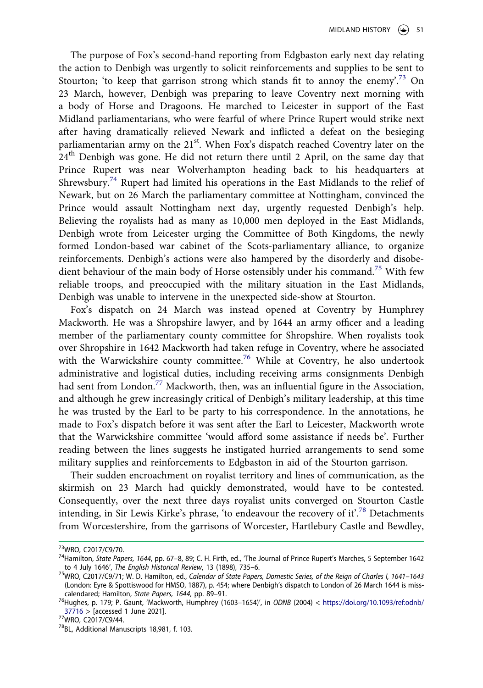The purpose of Fox's second-hand reporting from Edgbaston early next day relating the action to Denbigh was urgently to solicit reinforcements and supplies to be sent to Stourton; 'to keep that garrison strong which stands fit to annoy the enemy'.<sup>73</sup> On 23 March, however, Denbigh was preparing to leave Coventry next morning with a body of Horse and Dragoons. He marched to Leicester in support of the East Midland parliamentarians, who were fearful of where Prince Rupert would strike next after having dramatically relieved Newark and inflicted a defeat on the besieging parliamentarian army on the 21<sup>st</sup>. When Fox's dispatch reached Coventry later on the 24<sup>th</sup> Denbigh was gone. He did not return there until 2 April, on the same day that Prince Rupert was near Wolverhampton heading back to his headquarters at Shrewsbury.[74](#page-14-1) Rupert had limited his operations in the East Midlands to the relief of Newark, but on 26 March the parliamentary committee at Nottingham, convinced the Prince would assault Nottingham next day, urgently requested Denbigh's help. Believing the royalists had as many as 10,000 men deployed in the East Midlands, Denbigh wrote from Leicester urging the Committee of Both Kingdoms, the newly formed London-based war cabinet of the Scots-parliamentary alliance, to organize reinforcements. Denbigh's actions were also hampered by the disorderly and disobe-dient behaviour of the main body of Horse ostensibly under his command.<sup>[75](#page-14-2)</sup> With few reliable troops, and preoccupied with the military situation in the East Midlands, Denbigh was unable to intervene in the unexpected side-show at Stourton.

Fox's dispatch on 24 March was instead opened at Coventry by Humphrey Mackworth. He was a Shropshire lawyer, and by 1644 an army officer and a leading member of the parliamentary county committee for Shropshire. When royalists took over Shropshire in 1642 Mackworth had taken refuge in Coventry, where he associated with the Warwickshire county committee.<sup>76</sup> While at Coventry, he also undertook administrative and logistical duties, including receiving arms consignments Denbigh had sent from London.<sup>[77](#page-14-4)</sup> Mackworth, then, was an influential figure in the Association, and although he grew increasingly critical of Denbigh's military leadership, at this time he was trusted by the Earl to be party to his correspondence. In the annotations, he made to Fox's dispatch before it was sent after the Earl to Leicester, Mackworth wrote that the Warwickshire committee 'would afford some assistance if needs be'. Further reading between the lines suggests he instigated hurried arrangements to send some military supplies and reinforcements to Edgbaston in aid of the Stourton garrison.

Their sudden encroachment on royalist territory and lines of communication, as the skirmish on 23 March had quickly demonstrated, would have to be contested. Consequently, over the next three days royalist units converged on Stourton Castle intending, in Sir Lewis Kirke's phrase, 'to endeavour the recovery of it'.<sup>[78](#page-14-5)</sup> Detachments from Worcestershire, from the garrisons of Worcester, Hartlebury Castle and Bewdley,

<span id="page-14-1"></span>

<span id="page-14-0"></span><sup>&</sup>lt;sup>73</sup>WRO, C2017/C9/70.<br><sup>74</sup>Hamilton, *State Papers, 1644*, pp. 67–8, 89; C. H. Firth, ed., 'The Journal of Prince Rupert's Marches, 5 September 1642<br>to 4 July 1646', *The English Historical Review*, 13 (1898), 735–6.

<span id="page-14-2"></span><sup>&</sup>lt;sup>75</sup>WRO, C2017/C9/71; W. D. Hamilton, ed., *Calendar of State Papers, Domestic Series, of the Reign of Charles I, 1641–1643* (London: Eyre & Spottiswood for HMSO, 1887), p. 454; where Denbigh's dispatch to London of 26 March 1644 is miss-

<span id="page-14-3"></span>calendared; Hamilton, *State Papers, 1644*, pp. 89–91.<br><sup>76</sup>Hughes, p. 179; P. Gaunt, 'Mackworth, Humphrey (1603–1654)', in *ODNB* (2004) < [https://doi.org/10.1093/ref:odnb/](https://doi.org/10.1093/ref:odnb/37716)<br>37716 > [accessed 1 June 2021].

<span id="page-14-5"></span>

<span id="page-14-4"></span> $377$ WRO, C2017/C9/44.<br><sup>78</sup>BL, Additional Manuscripts 18,981, f. 103.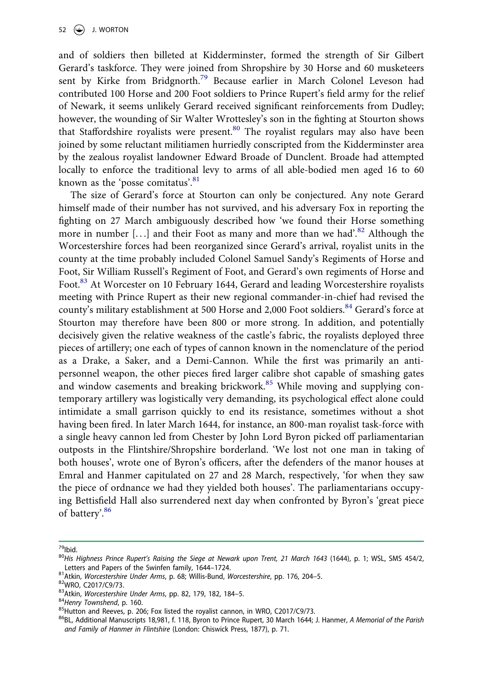and of soldiers then billeted at Kidderminster, formed the strength of Sir Gilbert Gerard's taskforce. They were joined from Shropshire by 30 Horse and 60 musketeers sent by Kirke from Bridgnorth.<sup>[79](#page-15-0)</sup> Because earlier in March Colonel Leveson had contributed 100 Horse and 200 Foot soldiers to Prince Rupert's field army for the relief of Newark, it seems unlikely Gerard received significant reinforcements from Dudley; however, the wounding of Sir Walter Wrottesley's son in the fighting at Stourton shows that Staffordshire royalists were present.<sup>[80](#page-15-1)</sup> The royalist regulars may also have been joined by some reluctant militiamen hurriedly conscripted from the Kidderminster area by the zealous royalist landowner Edward Broade of Dunclent. Broade had attempted locally to enforce the traditional levy to arms of all able-bodied men aged 16 to 60 known as the 'posse comitatus'.<sup>[81](#page-15-2)</sup>

The size of Gerard's force at Stourton can only be conjectured. Any note Gerard himself made of their number has not survived, and his adversary Fox in reporting the fighting on 27 March ambiguously described how 'we found their Horse something more in number  $[\,\ldots]$  and their Foot as many and more than we had'.<sup>82</sup> Although the Worcestershire forces had been reorganized since Gerard's arrival, royalist units in the county at the time probably included Colonel Samuel Sandy's Regiments of Horse and Foot, Sir William Russell's Regiment of Foot, and Gerard's own regiments of Horse and Foot.<sup>[83](#page-15-4)</sup> At Worcester on 10 February 1644, Gerard and leading Worcestershire royalists meeting with Prince Rupert as their new regional commander-in-chief had revised the county's military establishment at 500 Horse and 2,000 Foot soldiers.<sup>[84](#page-15-5)</sup> Gerard's force at Stourton may therefore have been 800 or more strong. In addition, and potentially decisively given the relative weakness of the castle's fabric, the royalists deployed three pieces of artillery; one each of types of cannon known in the nomenclature of the period as a Drake, a Saker, and a Demi-Cannon. While the first was primarily an antipersonnel weapon, the other pieces fired larger calibre shot capable of smashing gates and window casements and breaking brickwork.<sup>85</sup> While moving and supplying contemporary artillery was logistically very demanding, its psychological effect alone could intimidate a small garrison quickly to end its resistance, sometimes without a shot having been fired. In later March 1644, for instance, an 800-man royalist task-force with a single heavy cannon led from Chester by John Lord Byron picked off parliamentarian outposts in the Flintshire/Shropshire borderland. 'We lost not one man in taking of both houses', wrote one of Byron's officers, after the defenders of the manor houses at Emral and Hanmer capitulated on 27 and 28 March, respectively, 'for when they saw the piece of ordnance we had they yielded both houses'. The parliamentarians occupying Bettisfield Hall also surrendered next day when confronted by Byron's 'great piece of battery'[.86](#page-15-7)

<span id="page-15-1"></span>

<span id="page-15-0"></span><sup>&</sup>lt;sup>79</sup>lbid.<br><sup>80</sup>His Highness Prince Rupert's Raising the Siege at Newark upon Trent, 21 March 1643 (1644), p. 1; WSL, SMS 454/2,<br>Letters and Papers of the Swinfen family, 1644–1724.

<span id="page-15-3"></span>

<span id="page-15-4"></span>

<span id="page-15-5"></span>

<span id="page-15-7"></span><span id="page-15-6"></span>

<span id="page-15-2"></span><sup>&</sup>lt;sup>81</sup>Atkin, *Worcestershire Under Arms*, p. 68; Willis-Bund, *Worcestershire*, pp. 176, 204–5.<br><sup>82</sup>WRO, C2017/C9/73.<br><sup>83</sup>Atkin, *Worcestershire Under Arms*, pp. 82, 179, 182, 184–5.<br><sup>84</sup>Henry Townshend, p. 160.<br><sup>85</sup>Hutton *and Family of Hanmer in Flintshire* (London: Chiswick Press, 1877), p. 71.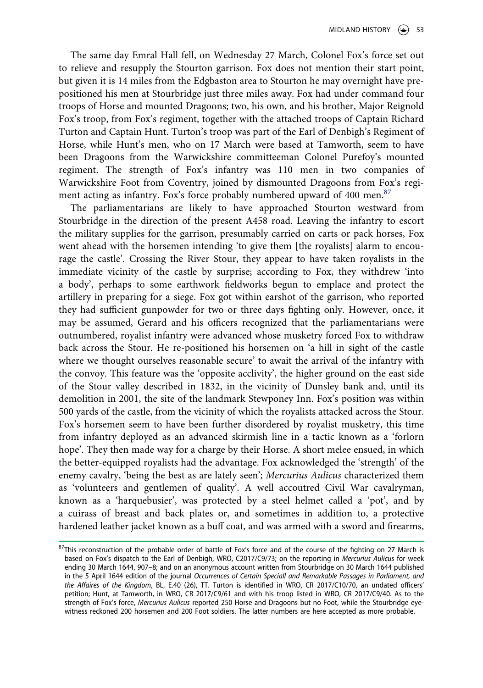The same day Emral Hall fell, on Wednesday 27 March, Colonel Fox's force set out to relieve and resupply the Stourton garrison. Fox does not mention their start point, but given it is 14 miles from the Edgbaston area to Stourton he may overnight have prepositioned his men at Stourbridge just three miles away. Fox had under command four troops of Horse and mounted Dragoons; two, his own, and his brother, Major Reignold Fox's troop, from Fox's regiment, together with the attached troops of Captain Richard Turton and Captain Hunt. Turton's troop was part of the Earl of Denbigh's Regiment of Horse, while Hunt's men, who on 17 March were based at Tamworth, seem to have been Dragoons from the Warwickshire committeeman Colonel Purefoy's mounted regiment. The strength of Fox's infantry was 110 men in two companies of Warwickshire Foot from Coventry, joined by dismounted Dragoons from Fox's regi-ment acting as infantry. Fox's force probably numbered upward of 400 men.<sup>[87](#page-16-0)</sup>

The parliamentarians are likely to have approached Stourton westward from Stourbridge in the direction of the present A458 road. Leaving the infantry to escort the military supplies for the garrison, presumably carried on carts or pack horses, Fox went ahead with the horsemen intending 'to give them [the royalists] alarm to encourage the castle'. Crossing the River Stour, they appear to have taken royalists in the immediate vicinity of the castle by surprise; according to Fox, they withdrew 'into a body', perhaps to some earthwork fieldworks begun to emplace and protect the artillery in preparing for a siege. Fox got within earshot of the garrison, who reported they had sufficient gunpowder for two or three days fighting only. However, once, it may be assumed, Gerard and his officers recognized that the parliamentarians were outnumbered, royalist infantry were advanced whose musketry forced Fox to withdraw back across the Stour. He re-positioned his horsemen on 'a hill in sight of the castle where we thought ourselves reasonable secure' to await the arrival of the infantry with the convoy. This feature was the 'opposite acclivity', the higher ground on the east side of the Stour valley described in 1832, in the vicinity of Dunsley bank and, until its demolition in 2001, the site of the landmark Stewponey Inn. Fox's position was within 500 yards of the castle, from the vicinity of which the royalists attacked across the Stour. Fox's horsemen seem to have been further disordered by royalist musketry, this time from infantry deployed as an advanced skirmish line in a tactic known as a 'forlorn hope'. They then made way for a charge by their Horse. A short melee ensued, in which the better-equipped royalists had the advantage. Fox acknowledged the 'strength' of the enemy cavalry, 'being the best as are lately seen'; *Mercurius Aulicus* characterized them as 'volunteers and gentlemen of quality'. A well accoutred Civil War cavalryman, known as a 'harquebusier', was protected by a steel helmet called a 'pot', and by a cuirass of breast and back plates or, and sometimes in addition to, a protective hardened leather jacket known as a buff coat, and was armed with a sword and firearms,

<span id="page-16-0"></span><sup>&</sup>lt;sup>87</sup>This reconstruction of the probable order of battle of Fox's force and of the course of the fighting on 27 March is based on Fox's dispatch to the Earl of Denbigh, WRO, C2017/C9/73; on the reporting in *Mercurius Aulicus* for week ending 30 March 1644, 907–8; and on an anonymous account written from Stourbridge on 30 March 1644 published in the 5 April 1644 edition of the journal *Occurrences of Certain Speciall and Remarkable Passages in Parliament, and the Affaires of the Kingdom*, BL, E.40 (26), TT. Turton is identified in WRO, CR 2017/C10/70, an undated officers' petition; Hunt, at Tamworth, in WRO, CR 2017/C9/61 and with his troop listed in WRO, CR 2017/C9/40. As to the strength of Fox's force, *Mercurius Aulicus* reported 250 Horse and Dragoons but no Foot, while the Stourbridge eyewitness reckoned 200 horsemen and 200 Foot soldiers. The latter numbers are here accepted as more probable.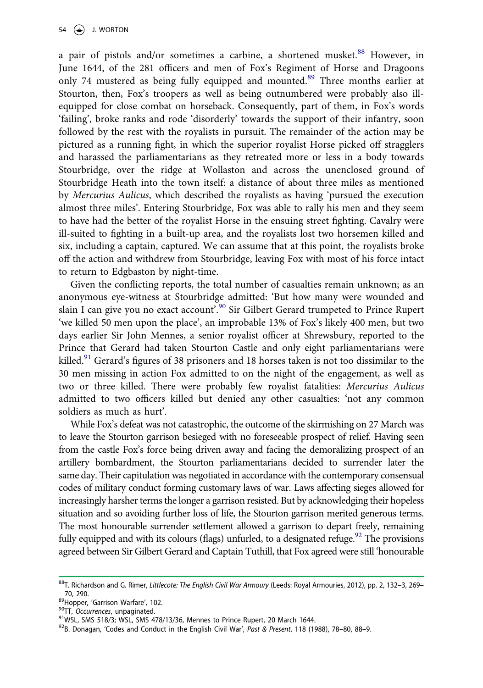a pair of pistols and/or sometimes a carbine, a shortened musket.<sup>88</sup> However, in June 1644, of the 281 officers and men of Fox's Regiment of Horse and Dragoons only 74 mustered as being fully equipped and mounted[.89](#page-17-1) Three months earlier at Stourton, then, Fox's troopers as well as being outnumbered were probably also illequipped for close combat on horseback. Consequently, part of them, in Fox's words 'failing', broke ranks and rode 'disorderly' towards the support of their infantry, soon followed by the rest with the royalists in pursuit. The remainder of the action may be pictured as a running fight, in which the superior royalist Horse picked off stragglers and harassed the parliamentarians as they retreated more or less in a body towards Stourbridge, over the ridge at Wollaston and across the unenclosed ground of Stourbridge Heath into the town itself: a distance of about three miles as mentioned by *Mercurius Aulicus*, which described the royalists as having 'pursued the execution almost three miles'. Entering Stourbridge, Fox was able to rally his men and they seem to have had the better of the royalist Horse in the ensuing street fighting. Cavalry were ill-suited to fighting in a built-up area, and the royalists lost two horsemen killed and six, including a captain, captured. We can assume that at this point, the royalists broke off the action and withdrew from Stourbridge, leaving Fox with most of his force intact to return to Edgbaston by night-time.

Given the conflicting reports, the total number of casualties remain unknown; as an anonymous eye-witness at Stourbridge admitted: 'But how many were wounded and slain I can give you no exact account<sup>'.90</sup> Sir Gilbert Gerard trumpeted to Prince Rupert 'we killed 50 men upon the place', an improbable 13% of Fox's likely 400 men, but two days earlier Sir John Mennes, a senior royalist officer at Shrewsbury, reported to the Prince that Gerard had taken Stourton Castle and only eight parliamentarians were killed.<sup>[91](#page-17-3)</sup> Gerard's figures of 38 prisoners and 18 horses taken is not too dissimilar to the 30 men missing in action Fox admitted to on the night of the engagement, as well as two or three killed. There were probably few royalist fatalities: *Mercurius Aulicus*  admitted to two officers killed but denied any other casualties: 'not any common soldiers as much as hurt'.

While Fox's defeat was not catastrophic, the outcome of the skirmishing on 27 March was to leave the Stourton garrison besieged with no foreseeable prospect of relief. Having seen from the castle Fox's force being driven away and facing the demoralizing prospect of an artillery bombardment, the Stourton parliamentarians decided to surrender later the same day. Their capitulation was negotiated in accordance with the contemporary consensual codes of military conduct forming customary laws of war. Laws affecting sieges allowed for increasingly harsher terms the longer a garrison resisted. But by acknowledging their hopeless situation and so avoiding further loss of life, the Stourton garrison merited generous terms. The most honourable surrender settlement allowed a garrison to depart freely, remaining fully equipped and with its colours (flags) unfurled, to a designated refuge.<sup>92</sup> The provisions agreed between Sir Gilbert Gerard and Captain Tuthill, that Fox agreed were still 'honourable

<span id="page-17-0"></span><sup>88</sup>T. Richardson and G. Rimer, *Littlecote: The English Civil War Armoury* (Leeds: Royal Armouries, 2012), pp. 2, 132–3, 269– 70, 290.<br><sup>89</sup>Hopper, 'Garrison Warfare', 102.<br><sup>90</sup>TT, *Occurrences*, unpaginated.<br><sup>91</sup>WSL, SMS 518/3; WSL, SMS 478/13/36, Mennes to Prince Rupert, 20 March 1644.<br><sup>92</sup>B. Donagan, 'Codes and Conduct in the English Civil War

<span id="page-17-2"></span><span id="page-17-1"></span>

<span id="page-17-3"></span>

<span id="page-17-4"></span>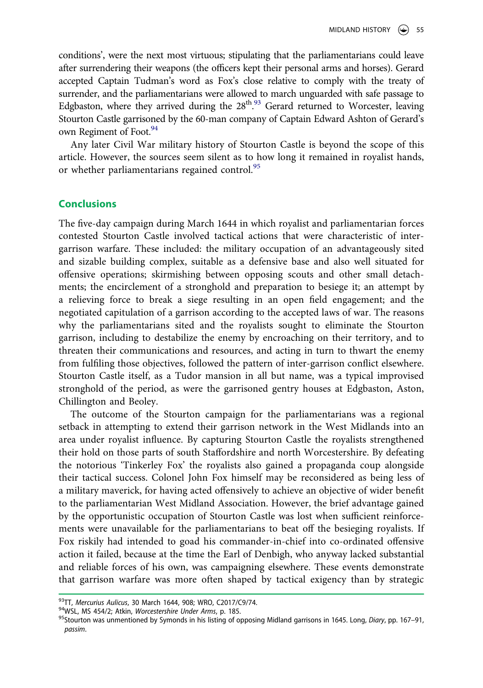conditions', were the next most virtuous; stipulating that the parliamentarians could leave after surrendering their weapons (the officers kept their personal arms and horses). Gerard accepted Captain Tudman's word as Fox's close relative to comply with the treaty of surrender, and the parliamentarians were allowed to march unguarded with safe passage to Edgbaston, where they arrived during the 28<sup>th</sup>.<sup>93</sup> Gerard returned to Worcester, leaving Stourton Castle garrisoned by the 60-man company of Captain Edward Ashton of Gerard's own Regiment of Foot.<sup>94</sup>

Any later Civil War military history of Stourton Castle is beyond the scope of this article. However, the sources seem silent as to how long it remained in royalist hands, or whether parliamentarians regained control.<sup>[95](#page-18-2)</sup>

#### **Conclusions**

The five-day campaign during March 1644 in which royalist and parliamentarian forces contested Stourton Castle involved tactical actions that were characteristic of intergarrison warfare. These included: the military occupation of an advantageously sited and sizable building complex, suitable as a defensive base and also well situated for offensive operations; skirmishing between opposing scouts and other small detachments; the encirclement of a stronghold and preparation to besiege it; an attempt by a relieving force to break a siege resulting in an open field engagement; and the negotiated capitulation of a garrison according to the accepted laws of war. The reasons why the parliamentarians sited and the royalists sought to eliminate the Stourton garrison, including to destabilize the enemy by encroaching on their territory, and to threaten their communications and resources, and acting in turn to thwart the enemy from fulfiling those objectives, followed the pattern of inter-garrison conflict elsewhere. Stourton Castle itself, as a Tudor mansion in all but name, was a typical improvised stronghold of the period, as were the garrisoned gentry houses at Edgbaston, Aston, Chillington and Beoley.

The outcome of the Stourton campaign for the parliamentarians was a regional setback in attempting to extend their garrison network in the West Midlands into an area under royalist influence. By capturing Stourton Castle the royalists strengthened their hold on those parts of south Staffordshire and north Worcestershire. By defeating the notorious 'Tinkerley Fox' the royalists also gained a propaganda coup alongside their tactical success. Colonel John Fox himself may be reconsidered as being less of a military maverick, for having acted offensively to achieve an objective of wider benefit to the parliamentarian West Midland Association. However, the brief advantage gained by the opportunistic occupation of Stourton Castle was lost when sufficient reinforcements were unavailable for the parliamentarians to beat off the besieging royalists. If Fox riskily had intended to goad his commander-in-chief into co-ordinated offensive action it failed, because at the time the Earl of Denbigh, who anyway lacked substantial and reliable forces of his own, was campaigning elsewhere. These events demonstrate that garrison warfare was more often shaped by tactical exigency than by strategic

<span id="page-18-2"></span><span id="page-18-1"></span>

<span id="page-18-0"></span><sup>&</sup>lt;sup>93</sup>TT, *Mercurius Aulicus*, 30 March 1644, 908; WRO, C2017/C9/74.<br><sup>94</sup>WSL, MS 454/2; Atkin, *Worcestershire Under Arms*, p. 185.<br><sup>95</sup>Stourton was unmentioned by Symonds in his listing of opposing Midland garrisons in 1645 *passim*.